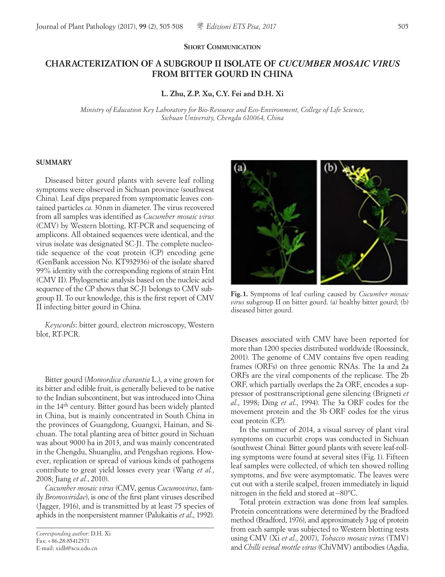### **SHORT COMMUNICATION**

# **CHARACTERIZATION OF A SUBGROUP II ISOLATE OF** *CUCUMBER MOSAIC VIRUS* **FROM BITTER GOURD IN CHINA**

**L. Zhu, Z.P. Xu, C.Y. Fei and D.H. Xi**

*Ministry of Education Key Laboratory for Bio-Resource and Eco-Environment, College of Life Science, Sichuan University, Chengdu 610064, China*

### **SUMMARY**

Diseased bitter gourd plants with severe leaf rolling symptoms were observed in Sichuan province (southwest China). Leaf dips prepared from symptomatic leaves contained particles *ca*. 30nm in diameter. The virus recovered from all samples was identified as *Cucumber mosaic virus* (CMV) by Western blotting, RT-PCR and sequencing of amplicons. All obtained sequences were identical, and the virus isolate was designated SC-J1. The complete nucleotide sequence of the coat protein (CP) encoding gene (GenBank accession No. KT932936) of the isolate shared 99% identity with the corresponding regions of strain Hnt (CMV II). Phylogenetic analysis based on the nucleic acid sequence of the CP shows that SC-J1 belongs to CMV subgroup II. To our knowledge, this is the first report of CMV II infecting bitter gourd in China.

*Keywords*: bitter gourd, electron microscopy, Western blot, RT-PCR.

Bitter gourd (*Momordica charantia* L.), a vine grown for its bitter and edible fruit, is generally believed to be native to the Indian subcontinent, but was introduced into China in the 14th century. Bitter gourd has been widely planted in China, but is mainly concentrated in South China in the provinces of Guangdong, Guangxi, Hainan, and Sichuan. The total planting area of bitter gourd in Sichuan was about 9000 ha in 2013, and was mainly concentrated in the Chengdu, Shuangliu, and Pengshan regions. However, replication or spread of various kinds of pathogens contribute to great yield losses every year (Wang *et al.*, 2008; Jiang *et al.*, 2010).

*Cucumber mosaic virus* (CMV, genus *Cucumovirus*, family *Bromoviridae*), is one of the first plant viruses described (Jagger, 1916), and is transmitted by at least 75 species of aphids in the nonpersistent manner (Palukaitis *et al*., 1992).

```
Corresponding author: D.H. Xi
Fax:+86.28.85412571
E-mail: xidh@scu.edu.cn
```


**Fig.1.** Symptoms of leaf curling caused by *Cucumber mosaic virus* subgroup II on bitter gourd. (a) healthy bitter gourd; (b) diseased bitter gourd.

Diseases associated with CMV have been reported for more than 1200 species distributed worldwide (Roossinck, 2001). The genome of CMV contains five open reading frames (ORFs) on three genomic RNAs. The 1a and 2a ORFs are the viral components of the replicase. The 2b ORF, which partially overlaps the 2a ORF, encodes a suppressor of posttranscriptional gene silencing (Brigneti *et al*., 1998; Ding *et al*., 1994). The 3a ORF codes for the movement protein and the 3b ORF codes for the virus coat protein (CP).

In the summer of 2014, a visual survey of plant viral symptoms on cucurbit crops was conducted in Sichuan (southwest China). Bitter gourd plants with severe leaf-rolling symptoms were found at several sites (Fig. 1). Fifteen leaf samples were collected, of which ten showed rolling symptoms, and five were asymptomatic. The leaves were cut out with a sterile scalpel, frozen immediately in liquid nitrogen in the field and stored at−80°C.

Total protein extraction was done from leaf samples. Protein concentrations were determined by the Bradford method (Bradford, 1976), and approximately 3 μg of protein from each sample was subjected to Western blotting tests using CMV (Xi *et al*., 2007), *Tobacco mosaic virus* (TMV) and *Chilli veinal mottle virus* (ChiVMV) antibodies (Agdia,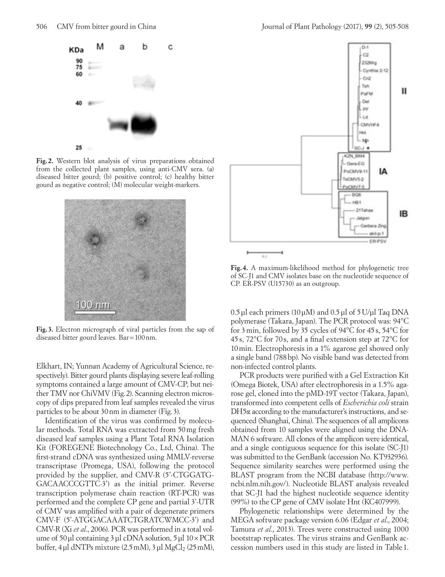

**Fig. 2.** Western blot analysis of virus preparations obtained from the collected plant samples, using anti-CMV sera. (a) diseased bitter gourd; (b) positive control; (c) healthy bitter gourd as negative control; (M) molecular weight-markers.



**Fig. 3.** Electron micrograph of viral particles from the sap of diseased bitter gourd leaves. Bar=100nm.

Elkhart, IN; Yunnan Academy of Agricultural Science, respectively). Bitter gourd plants displaying severe leaf-rolling symptoms contained a large amount of CMV-CP, but neither TMV nor ChiVMV (Fig.2). Scanning electron microscopy of dips prepared from leaf samples revealed the virus particles to be about 30nm in diameter (Fig.3).

Identification of the virus was confirmed by molecular methods. Total RNA was extracted from 50mg fresh diseased leaf samples using a Plant Total RNA Isolation Kit (FOREGENE Biotechnology Co., Ltd, China). The first-strand cDNA was synthesized using MMLV-reverse transcriptase (Promega, USA), following the protocol provided by the supplier, and CMV-R (5'-CTGGATG-GACAACCCGTTC-3') as the initial primer. Reverse transcription polymerase chain reaction (RT-PCR) was performed and the complete CP gene and partial 3'-UTR of CMV was amplified with a pair of degenerate primers CMV-F (5'-ATGGACAAATCTGRATCWMCC-3') and CMV-R (Xi *et al*., 2006). PCR was performed in a total volume of 50μl containing 3μl cDNA solution, 5μl 10×PCR buffer,  $4 \mu$ l dNTPs mixture (2.5 mM),  $3 \mu$ l MgCl<sub>2</sub> (25 mM),



**Fig. 4.** A maximum-likelihood method for phylogenetic tree of SC-J1 and CMV isolates base on the nucleotide sequence of CP. ER-PSV (U15730) as an outgroup.

0.5μl each primers (10μM) and 0.5μl of 5U/μl Taq DNA polymerase (Takara, Japan). The PCR protocol was: 94°C for 3min, followed by 35 cycles of 94°C for 45s, 54°C for 45 s, 72°C for 70 s, and a final extension step at 72°C for 10min. Electrophoresis in a 1% agarose gel showed only a single band (788bp). No visible band was detected from non-infected control plants.

PCR products were purified with a Gel Extraction Kit (Omega Biotek, USA) after electrophoresis in a 1.5% agarose gel, cloned into the pMD-19T vector (Takara, Japan), transformed into competent cells of *Escherichia coli* strain DH5α according to the manufacturer's instructions, and sequenced (Shanghai, China). The sequences of all amplicons obtained from 10 samples were aligned using the DNA-MAN 6 software. All clones of the amplicon were identical, and a single contiguous sequence for this isolate (SC-J1) was submitted to the GenBank (accession No. KT932936). Sequence similarity searches were performed using the BLAST program from the NCBI database (http://www. ncbi.nlm.nih.gov/). Nucleotide BLAST analysis revealed that SC-J1 had the highest nucleotide sequence identity (99%) to the CP gene of CMV isolate Hnt (KC407999).

Phylogenetic relationships were determined by the MEGA software package version 6.06 (Edgar *et al*., 2004; Tamura *et al*., 2013). Trees were constructed using 1000 bootstrap replicates. The virus strains and GenBank accession numbers used in this study are listed in Table 1.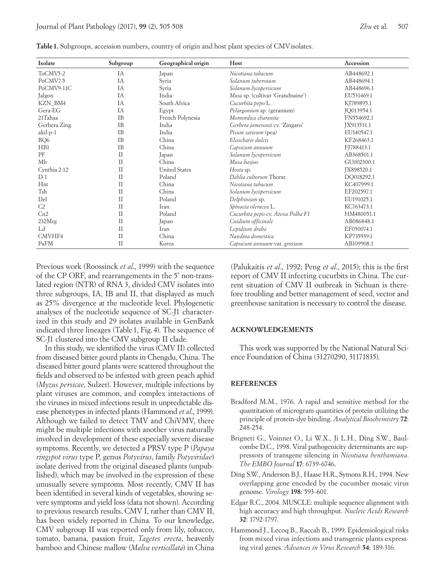| Isolate         | Subgroup      | Geographical origin  | Host                              | Accession  |
|-----------------|---------------|----------------------|-----------------------------------|------------|
| ToCMV5-2        | IA            | Japan                | Nicotiana tabacum                 | AB448692.1 |
| PoCMV7-5        | IA            | Syria                | Solanum tuberosum                 | AB448694.1 |
| PoCMV9-11C      | IA            | Syria                | Solanum lycopersicum              | AB448696.1 |
| Jalgon          | IA            | India                | Musa sp. (cultivar 'Grandnaine')  | EU531469.1 |
| KZN_BM4         | IA            | South Africa         | Cucurbita pepo L.                 | KJ789895.1 |
| Gera-EG         | IA            | Egypt                | Pelargonium sp. (geranium)        | JQ013954.1 |
| 21Tahaa         | <b>IB</b>     | French Polynesia     | Momordica charantia               | FN554692.1 |
| Gerbera Zing.   | <b>IB</b>     | India                | Gerbera jamesonii cv. 'Zingaro'   | JX913531.1 |
| akil-p-1        | <b>IB</b>     | India                | Pisum sativum (pea)               | EU140547.1 |
| BQ6             | <b>IB</b>     | China                | Eleocharis dulcis                 | KF268463.1 |
| H <sub>B1</sub> | <b>IB</b>     | China                | Capsicum annuum                   | FJ788413.1 |
| PF              | П             | Japan                | Solanum lycopersicum              | AB368501.1 |
| Mb              | $\mathbf{H}$  | China                | Musa basjoo                       | GU002300.1 |
| Cynthia 2-12    | $\mathcal{I}$ | <b>United States</b> | Hosta sp.                         | JX898520.1 |
| $D-1$           | $\mathcal{I}$ | Poland               | Dahlia cultorum Thorsr.           | DO018292.1 |
| Hnt             | $\mathcal{I}$ | China                | Nicotiana tabacum                 | KC407999.1 |
| Tsh             | П             | China                | Solanum lycopersicum              | EF202597.1 |
| Del             | $\rm II$      | Poland               | Delphinium sp.                    | EU191025.1 |
| C <sub>2</sub>  | $\mathbf{H}$  | Iran                 | Spinacia oleracea L.              | KC763473.1 |
| Cn2             | $\mathcal{I}$ | Poland               | Cucurbita pepo cv. Atena Polka F1 | HM480051.1 |
| 232Mrg          | П             | Japan                | Cnidium officinale                | AB086848.1 |
| Ld              | $\mathbf{H}$  | Iran                 | Lepidium draba                    | EF050074.1 |
| CMVHF4          | $\rm II$      | China                | Nandina domestica                 | KP735939.1 |
| PaFM            | $\rm II$      | Korea                | Capsicum annuum var. grossum      | AB109908.1 |

**Table 1.** Subgroups, accession numbers, country of origin and host plant species of CMV isolates.

Previous work (Roossinck *et al*., 1999) with the sequence of the CP ORF, and rearrangements in the 5' non-translated region (NTR) of RNA 3, divided CMV isolates into three subgroups, IA, IB and II, that displayed as much as 25% divergence at the nucleotide level. Phylogenetic analyses of the nucleotide sequence of SC-J1 characterized in this study and 29 isolates available in GenBank indicated three lineages (Table1, Fig.4). The sequence of SC-J1 clustered into the CMV subgroup II clade.

In this study, we identified the virus (CMV II) collected from diseased bitter gourd plants in Chengdu, China. The diseased bitter gourd plants were scattered throughout the fields and observed to be infested with green peach aphid (*Myzus persicae*, Sulzer). However, multiple infections by plant viruses are common, and complex interactions of the viruses in mixed infections result in unpredictable disease phenotypes in infected plants (Hammond *et al*., 1999). Although we failed to detect TMV and ChiVMV, there might be multiple infections with another virus naturally involved in development of these especially severe disease symptoms. Recently, we detected a PRSV type P (*Papaya ringspot virus* type P, genus *Potyvirus*, family *Potyviridae*) isolate derived from the original diseased plants (unpublished), which may be involved in the expression of these unusually severe symptoms. Most recently, CMV II has been identified in several kinds of vegetables, showing severe symptoms and yield loss (data not shown). According to previous research results, CMV I, rather than CMV II, has been widely reported in China. To our knowledge, CMV subgroup II was reported only from lily, tobacco, tomato, banana, passion fruit, *Tagetes erecta*, heavenly bamboo and Chinese mallow (*Malva verticillata*) in China (Palukaitis *et al*., 1992; Peng *et al*., 2015); this is the first report of CMV II infecting cucurbits in China. The current situation of CMV II outbreak in Sichuan is therefore troubling and better management of seed, vector and greenhouse sanitation is necessary to control the disease.

### **ACKNOWLEDGEMENTS**

This work was supported by the National Natural Science Foundation of China (31270290, 31171835).

## **REFERENCES**

- Bradford M.M., 1976. A rapid and sensitive method for the quantitation of microgram quantities of protein utilizing the principle of protein-dye binding. *Analytical Biochemistry* **72**: 248-254.
- Brigneti G., Voinnet O., Li W.X., Ji L.H., Ding S.W., Baulcombe D.C., 1998. Viral pathogenicity determinants are suppressors of transgene silencing in *Nicotiana benthamiana*. *The EMBO Journal* **17**: 6739-6746.
- Ding S.W., Anderson B.J., Haase H.R., Symons R.H., 1994. New overlapping gene encoded by the cucumber mosaic virus genome. *Virology* **198**: 593-601.
- Edgar R.C., 2004. MUSCLE: multiple sequence alignment with high accuracy and high throughput. *Nucleic Acids Research* **32**: 1792-1797.
- Hammond J., Lecoq B., Raccah B., 1999. Epidemiological risks from mixed virus infections and transgenic plants expressing viral genes. *Advances in Virus Research* **54**: 189-316.